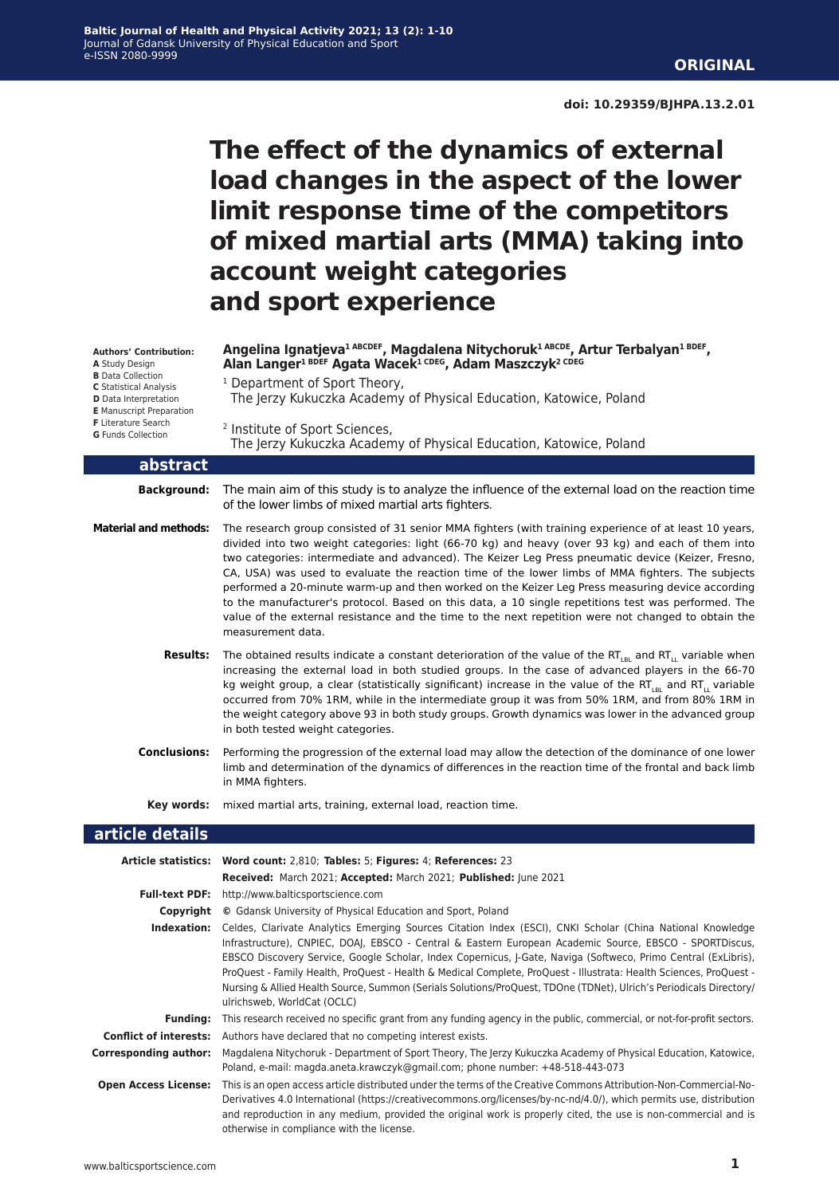# **The effect of the dynamics of external load changes in the aspect of the lower limit response time of the competitors of mixed martial arts (MMA) taking into account weight categories and sport experience**

| Angelina Ignatieva <sup>1 ABCDEF</sup> , Magdalena Nitychoruk <sup>1 ABCDE</sup> , Artur Terbalyan <sup>1 BDEF</sup> ,<br>Alan Langer <sup>1 BDEF</sup> Agata Wacek <sup>1 CDEG</sup> , Adam Maszczyk <sup>2 CDEG</sup> |  |
|-------------------------------------------------------------------------------------------------------------------------------------------------------------------------------------------------------------------------|--|
| <sup>1</sup> Department of Sport Theory,                                                                                                                                                                                |  |

| <b>Authors' Contribution:</b> |
|-------------------------------|
| A Study Design                |
| <b>B</b> Data Collection      |
| C Statistical Analysis        |

**C** Statistical Analysis **D** Data Interpretation

- **E** Manuscript Preparation
- **F** Literature Search
- **G** Funds Collection

2 Institute of Sport Sciences, The Jerzy Kukuczka Academy of Physical Education, Katowice, Poland

The Jerzy Kukuczka Academy of Physical Education, Katowice, Poland

#### **abstract**

**Background:** The main aim of this study is to analyze the influence of the external load on the reaction time of the lower limbs of mixed martial arts fighters.

- **Material and methods:** The research group consisted of 31 senior MMA fighters (with training experience of at least 10 years, divided into two weight categories: light (66-70 kg) and heavy (over 93 kg) and each of them into two categories: intermediate and advanced). The Keizer Leg Press pneumatic device (Keizer, Fresno, CA, USA) was used to evaluate the reaction time of the lower limbs of MMA fighters. The subjects performed a 20-minute warm-up and then worked on the Keizer Leg Press measuring device according to the manufacturer's protocol. Based on this data, a 10 single repetitions test was performed. The value of the external resistance and the time to the next repetition were not changed to obtain the measurement data.
	- **Results:** The obtained results indicate a constant deterioration of the value of the RT<sub>LBL</sub> and RT<sub>LL</sub> variable when increasing the external load in both studied groups. In the case of advanced players in the 66-70 kg weight group, a clear (statistically significant) increase in the value of the RT<sub>LBL</sub> and RT<sub>L</sub> variable occurred from 70% 1RM, while in the intermediate group it was from 50% 1RM, and from 80% 1RM in the weight category above 93 in both study groups. Growth dynamics was lower in the advanced group in both tested weight categories.
	- **Conclusions:** Performing the progression of the external load may allow the detection of the dominance of one lower limb and determination of the dynamics of differences in the reaction time of the frontal and back limb in MMA fighters.

**Key words:** mixed martial arts, training, external load, reaction time.

#### **article details**

|                             | Article statistics: Word count: 2,810; Tables: 5; Figures: 4; References: 23                                                                                                                                                                                                                                                                                                                                                                                                                                                                                                                                       |
|-----------------------------|--------------------------------------------------------------------------------------------------------------------------------------------------------------------------------------------------------------------------------------------------------------------------------------------------------------------------------------------------------------------------------------------------------------------------------------------------------------------------------------------------------------------------------------------------------------------------------------------------------------------|
|                             | Received: March 2021; Accepted: March 2021; Published: June 2021                                                                                                                                                                                                                                                                                                                                                                                                                                                                                                                                                   |
| <b>Full-text PDF:</b>       | http://www.balticsportscience.com                                                                                                                                                                                                                                                                                                                                                                                                                                                                                                                                                                                  |
| Copyright                   | © Gdansk University of Physical Education and Sport, Poland                                                                                                                                                                                                                                                                                                                                                                                                                                                                                                                                                        |
| Indexation:                 | Celdes, Clarivate Analytics Emerging Sources Citation Index (ESCI), CNKI Scholar (China National Knowledge<br>Infrastructure), CNPIEC, DOAJ, EBSCO - Central & Eastern European Academic Source, EBSCO - SPORTDiscus,<br>EBSCO Discovery Service, Google Scholar, Index Copernicus, J-Gate, Naviga (Softweco, Primo Central (ExLibris),<br>ProQuest - Family Health, ProQuest - Health & Medical Complete, ProQuest - Illustrata: Health Sciences, ProQuest -<br>Nursing & Allied Health Source, Summon (Serials Solutions/ProQuest, TDOne (TDNet), Ulrich's Periodicals Directory/<br>ulrichsweb, WorldCat (OCLC) |
| <b>Funding:</b>             | This research received no specific grant from any funding agency in the public, commercial, or not-for-profit sectors.                                                                                                                                                                                                                                                                                                                                                                                                                                                                                             |
|                             | <b>Conflict of interests:</b> Authors have declared that no competing interest exists.                                                                                                                                                                                                                                                                                                                                                                                                                                                                                                                             |
| Corresponding author:       | Magdalena Nitychoruk - Department of Sport Theory, The Jerzy Kukuczka Academy of Physical Education, Katowice,<br>Poland, e-mail: magda.aneta.krawczyk@gmail.com; phone number: +48-518-443-073                                                                                                                                                                                                                                                                                                                                                                                                                    |
| <b>Open Access License:</b> | This is an open access article distributed under the terms of the Creative Commons Attribution-Non-Commercial-No-<br>Derivatives 4.0 International (https://creativecommons.org/licenses/by-nc-nd/4.0/), which permits use, distribution<br>and reproduction in any medium, provided the original work is properly cited, the use is non-commercial and is<br>otherwise in compliance with the license.                                                                                                                                                                                                            |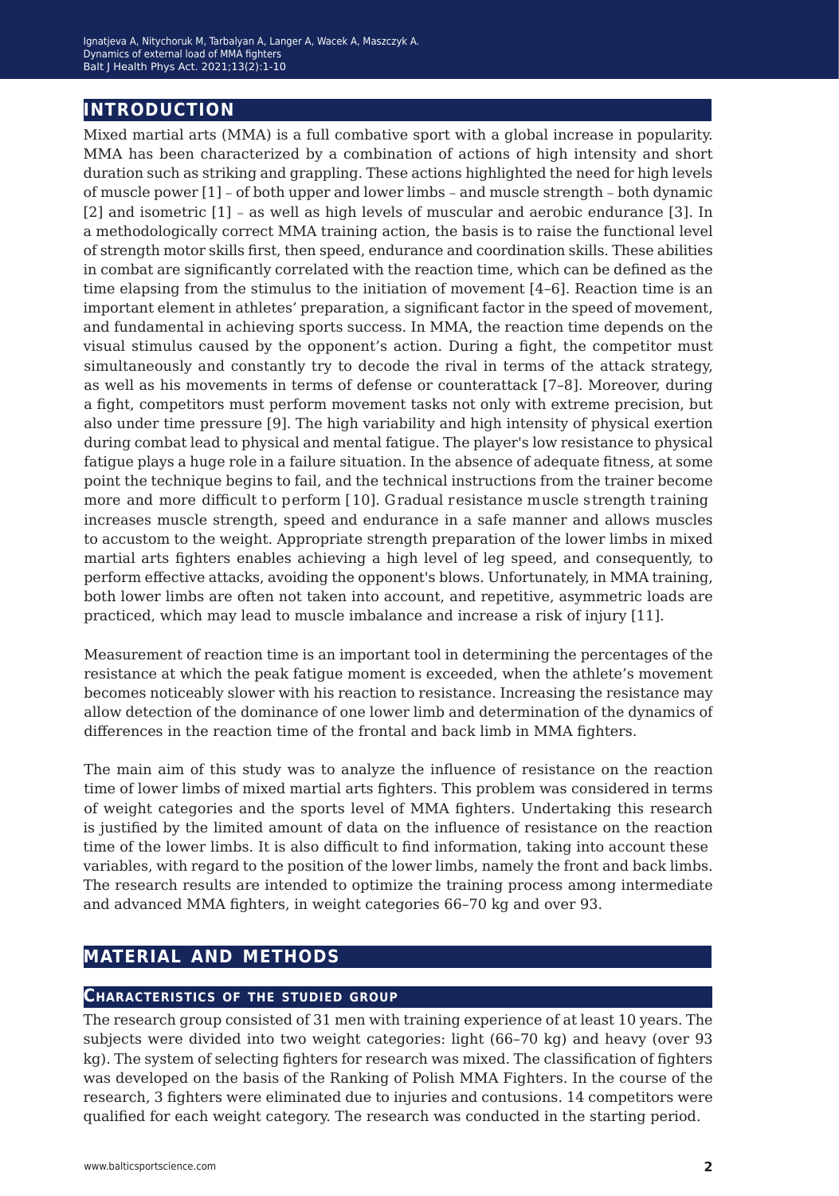# **introduction**

Mixed martial arts (MMA) is a full combative sport with a global increase in popularity. MMA has been characterized by a combination of actions of high intensity and short duration such as striking and grappling. These actions highlighted the need for high levels of muscle power [1] – of both upper and lower limbs – and muscle strength – both dynamic [2] and isometric [1] – as well as high levels of muscular and aerobic endurance [3]. In a methodologically correct MMA training action, the basis is to raise the functional level of strength motor skills first, then speed, endurance and coordination skills. These abilities in combat are significantly correlated with the reaction time, which can be defined as the time elapsing from the stimulus to the initiation of movement [4–6]. Reaction time is an important element in athletes' preparation, a significant factor in the speed of movement, and fundamental in achieving sports success. In MMA, the reaction time depends on the visual stimulus caused by the opponent's action. During a fight, the competitor must simultaneously and constantly try to decode the rival in terms of the attack strategy, as well as his movements in terms of defense or counterattack [7–8]. Moreover, during a fight, competitors must perform movement tasks not only with extreme precision, but also under time pressure [9]. The high variability and high intensity of physical exertion during combat lead to physical and mental fatigue. The player's low resistance to physical fatigue plays a huge role in a failure situation. In the absence of adequate fitness, at some point the technique begins to fail, and the technical instructions from the trainer become more and more difficult to perform [10]. Gradual resistance muscle strength training increases muscle strength, speed and endurance in a safe manner and allows muscles to accustom to the weight. Appropriate strength preparation of the lower limbs in mixed martial arts fighters enables achieving a high level of leg speed, and consequently, to perform effective attacks, avoiding the opponent's blows. Unfortunately, in MMA training, both lower limbs are often not taken into account, and repetitive, asymmetric loads are practiced, which may lead to muscle imbalance and increase a risk of injury [11].

Measurement of reaction time is an important tool in determining the percentages of the resistance at which the peak fatigue moment is exceeded, when the athlete's movement becomes noticeably slower with his reaction to resistance. Increasing the resistance may allow detection of the dominance of one lower limb and determination of the dynamics of differences in the reaction time of the frontal and back limb in MMA fighters.

The main aim of this study was to analyze the influence of resistance on the reaction time of lower limbs of mixed martial arts fighters. This problem was considered in terms of weight categories and the sports level of MMA fighters. Undertaking this research is justified by the limited amount of data on the influence of resistance on the reaction time of the lower limbs. It is also difficult to find information, taking into account these variables, with regard to the position of the lower limbs, namely the front and back limbs. The research results are intended to optimize the training process among intermediate and advanced MMA fighters, in weight categories 66–70 kg and over 93.

## **material and methods**

## **Characteristics of the studied group**

The research group consisted of 31 men with training experience of at least 10 years. The subjects were divided into two weight categories: light (66–70 kg) and heavy (over 93 kg). The system of selecting fighters for research was mixed. The classification of fighters was developed on the basis of the Ranking of Polish MMA Fighters. In the course of the research, 3 fighters were eliminated due to injuries and contusions. 14 competitors were qualified for each weight category. The research was conducted in the starting period.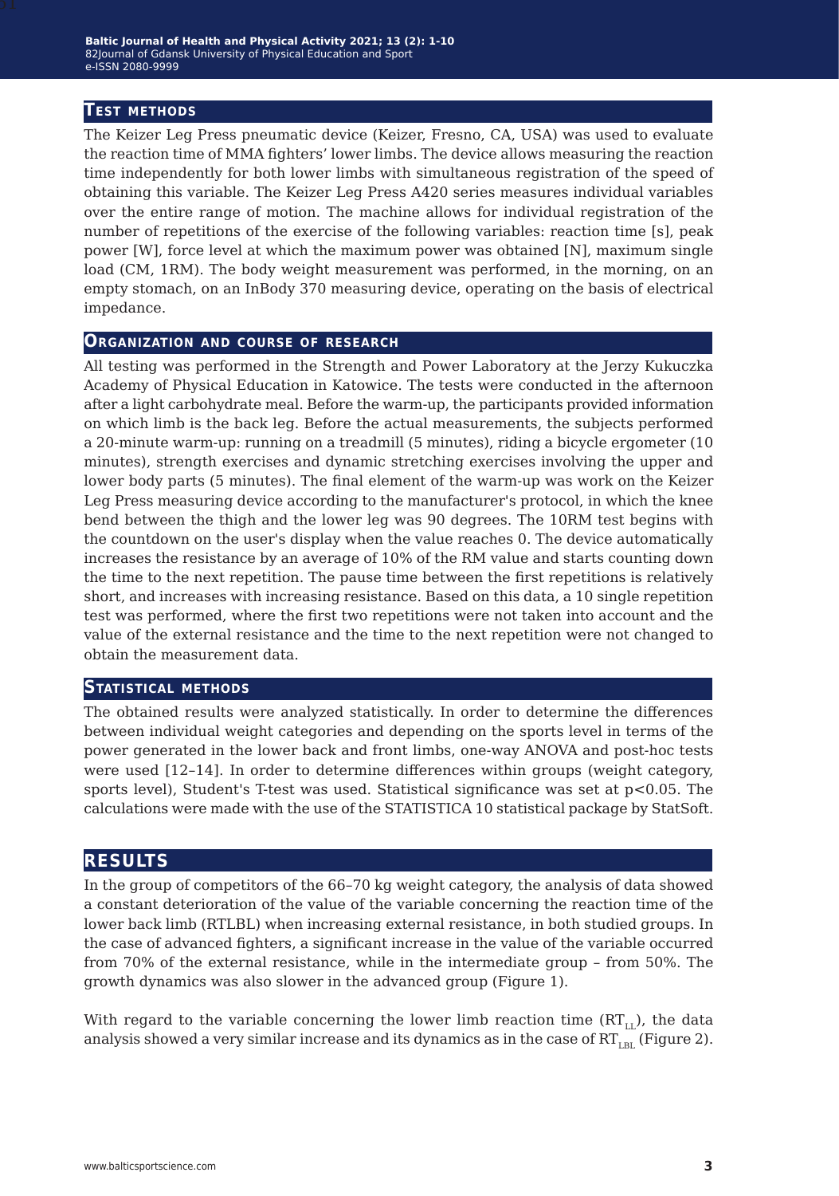#### **Test methods**

The Keizer Leg Press pneumatic device (Keizer, Fresno, CA, USA) was used to evaluate the reaction time of MMA fighters' lower limbs. The device allows measuring the reaction time independently for both lower limbs with simultaneous registration of the speed of obtaining this variable. The Keizer Leg Press A420 series measures individual variables over the entire range of motion. The machine allows for individual registration of the number of repetitions of the exercise of the following variables: reaction time [s], peak power [W], force level at which the maximum power was obtained [N], maximum single load (CM, 1RM). The body weight measurement was performed, in the morning, on an empty stomach, on an InBody 370 measuring device, operating on the basis of electrical impedance.

#### **Organization and course of research**

All testing was performed in the Strength and Power Laboratory at the Jerzy Kukuczka Academy of Physical Education in Katowice. The tests were conducted in the afternoon after a light carbohydrate meal. Before the warm-up, the participants provided information on which limb is the back leg. Before the actual measurements, the subjects performed a 20-minute warm-up: running on a treadmill (5 minutes), riding a bicycle ergometer (10 minutes), strength exercises and dynamic stretching exercises involving the upper and lower body parts (5 minutes). The final element of the warm-up was work on the Keizer Leg Press measuring device according to the manufacturer's protocol, in which the knee bend between the thigh and the lower leg was 90 degrees. The 10RM test begins with the countdown on the user's display when the value reaches 0. The device automatically increases the resistance by an average of 10% of the RM value and starts counting down the time to the next repetition. The pause time between the first repetitions is relatively short, and increases with increasing resistance. Based on this data, a 10 single repetition test was performed, where the first two repetitions were not taken into account and the value of the external resistance and the time to the next repetition were not changed to obtain the measurement data.

#### **Statistical methods**

The obtained results were analyzed statistically. In order to determine the differences between individual weight categories and depending on the sports level in terms of the power generated in the lower back and front limbs, one-way ANOVA and post-hoc tests were used [12–14]. In order to determine differences within groups (weight category, sports level), Student's T-test was used. Statistical significance was set at  $p<0.05$ . The calculations were made with the use of the STATISTICA 10 statistical package by StatSoft.

## **results**

In the group of competitors of the 66–70 kg weight category, the analysis of data showed a constant deterioration of the value of the variable concerning the reaction time of the lower back limb (RTLBL) when increasing external resistance, in both studied groups. In the case of advanced fighters, a significant increase in the value of the variable occurred from 70% of the external resistance, while in the intermediate group – from 50%. The growth dynamics was also slower in the advanced group (Figure 1).

With regard to the variable concerning the lower limb reaction time  $(RT_{\text{L}})$ , the data analysis showed a very similar increase and its dynamics as in the case of  $RT_{LBL}$  (Figure 2).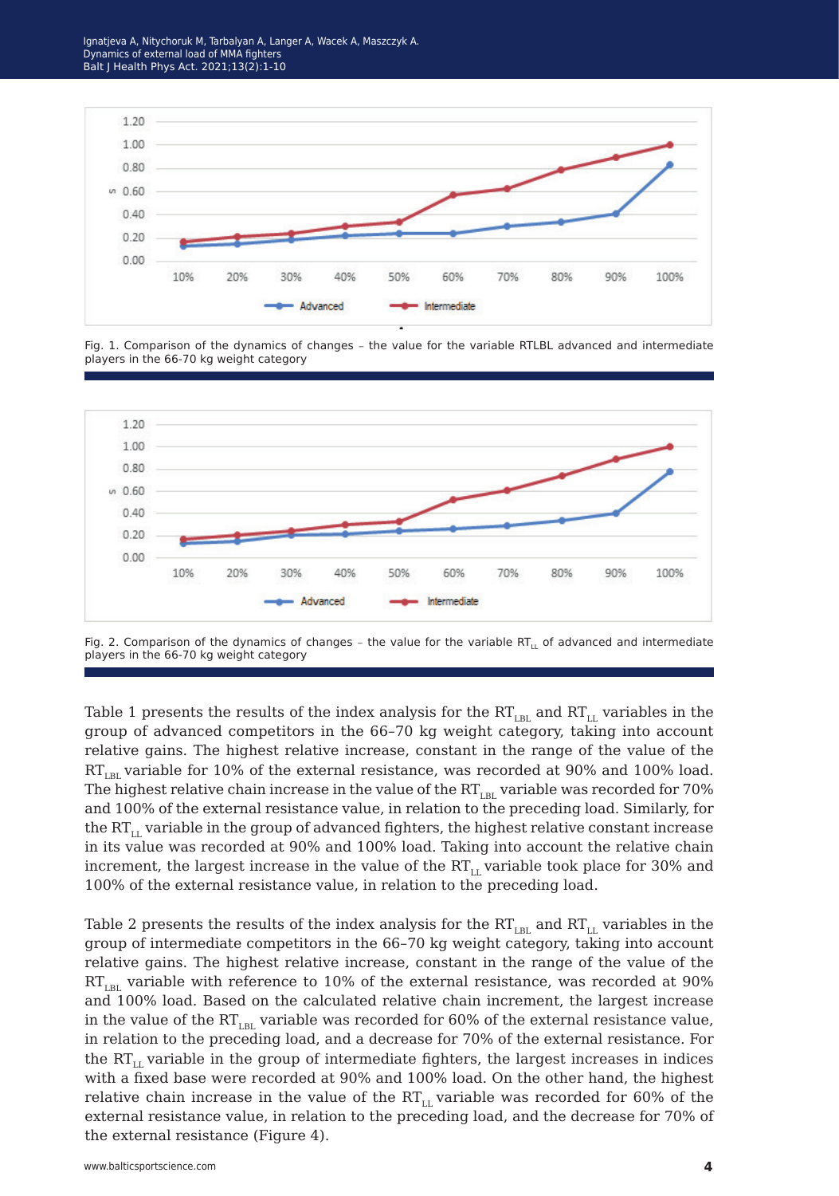Ignatjeva A, Nitychoruk M, Tarbalyan A, Langer A, Wacek A, Maszczyk A. Dynamics of external load of MMA fighters Balt J Health Phys Act. 2021;13(2):1-10



Fig. 1. Comparison of the dynamics of changes – the value for the variable RTLBL advanced and intermediate players in the 66-70 kg weight category



Fig. 2. Comparison of the dynamics of changes – the value for the variable RT<sub>I1</sub> of advanced and intermediate players in the 66-70 kg weight category

Table 1 presents the results of the index analysis for the  $RT_{LBL}$  and  $RT_{LL}$  variables in the group of advanced competitors in the 66–70 kg weight category, taking into account relative gains. The highest relative increase, constant in the range of the value of the  $RT_{LBL}$  variable for 10% of the external resistance, was recorded at 90% and 100% load. The highest relative chain increase in the value of the  $RT_{LBL}$  variable was recorded for 70% and 100% of the external resistance value, in relation to the preceding load. Similarly, for the  $RT_{LL}$  variable in the group of advanced fighters, the highest relative constant increase in its value was recorded at 90% and 100% load. Taking into account the relative chain increment, the largest increase in the value of the  $RT_{LL}$  variable took place for 30% and 100% of the external resistance value, in relation to the preceding load.

Table 2 presents the results of the index analysis for the  $RT_{LRL}$  and  $RT_{LL}$  variables in the group of intermediate competitors in the 66–70 kg weight category, taking into account relative gains. The highest relative increase, constant in the range of the value of the  $RT<sub>IRI</sub>$  variable with reference to 10% of the external resistance, was recorded at 90% and 100% load. Based on the calculated relative chain increment, the largest increase in the value of the  $RT_{IR}$  variable was recorded for 60% of the external resistance value, in relation to the preceding load, and a decrease for 70% of the external resistance. For the  $RT_{LL}$  variable in the group of intermediate fighters, the largest increases in indices with a fixed base were recorded at 90% and 100% load. On the other hand, the highest relative chain increase in the value of the  $RT_{LL}$  variable was recorded for 60% of the external resistance value, in relation to the preceding load, and the decrease for 70% of the external resistance (Figure 4).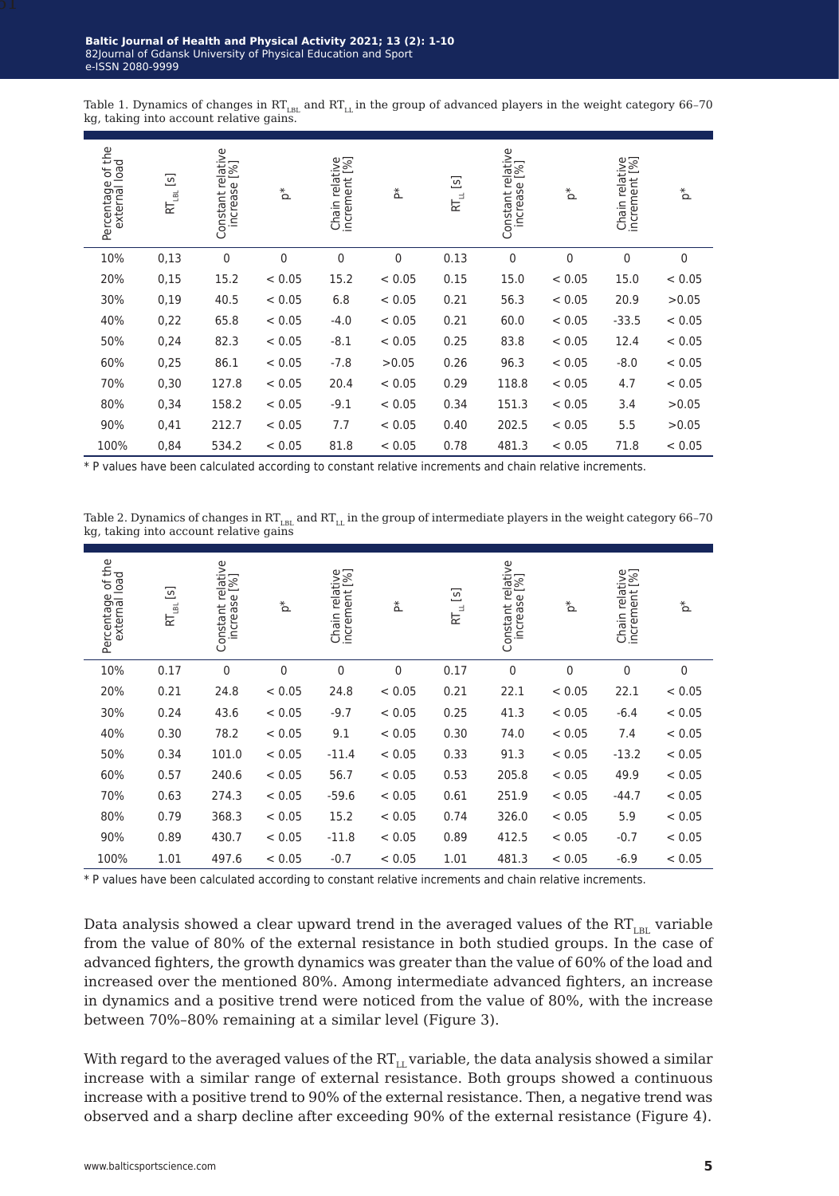Table 1. Dynamics of changes in  $RT_{LBL}$  and  $RT_{LL}$  in the group of advanced players in the weight category 66-70 kg, taking into account relative gains

| Percentage of the<br>external load | $\boxed{S}$<br>$R_{\rm LBL}$ | Constant relative<br>increase [%] | $\rm \stackrel{*}{\circ}$ | Chain relative<br>increment [%] | ጟ           | $\begin{bmatrix} 5 \end{bmatrix}$<br>$\mathsf{R}_{\mathsf{u}}$ | Constant relative<br>increase [%] | $\rm _{\Omega}^{*}$ | Chain relative<br>increment [%] | $_\Delta^*$  |
|------------------------------------|------------------------------|-----------------------------------|---------------------------|---------------------------------|-------------|----------------------------------------------------------------|-----------------------------------|---------------------|---------------------------------|--------------|
| 10%                                | 0,13                         | $\mathbf 0$                       | 0                         | $\mathbf 0$                     | $\mathbf 0$ | 0.13                                                           | 0                                 | $\mathbf 0$         | $\mathbf{0}$                    | $\mathbf{0}$ |
| 20%                                | 0,15                         | 15.2                              | < 0.05                    | 15.2                            | < 0.05      | 0.15                                                           | 15.0                              | < 0.05              | 15.0                            | < 0.05       |
| 30%                                | 0,19                         | 40.5                              | < 0.05                    | 6.8                             | < 0.05      | 0.21                                                           | 56.3                              | < 0.05              | 20.9                            | >0.05        |
| 40%                                | 0,22                         | 65.8                              | < 0.05                    | $-4.0$                          | < 0.05      | 0.21                                                           | 60.0                              | < 0.05              | $-33.5$                         | < 0.05       |
| 50%                                | 0,24                         | 82.3                              | < 0.05                    | $-8.1$                          | < 0.05      | 0.25                                                           | 83.8                              | < 0.05              | 12.4                            | < 0.05       |
| 60%                                | 0,25                         | 86.1                              | < 0.05                    | $-7.8$                          | >0.05       | 0.26                                                           | 96.3                              | < 0.05              | $-8.0$                          | < 0.05       |
| 70%                                | 0,30                         | 127.8                             | < 0.05                    | 20.4                            | < 0.05      | 0.29                                                           | 118.8                             | < 0.05              | 4.7                             | < 0.05       |
| 80%                                | 0,34                         | 158.2                             | < 0.05                    | $-9.1$                          | < 0.05      | 0.34                                                           | 151.3                             | < 0.05              | 3.4                             | >0.05        |
| 90%                                | 0,41                         | 212.7                             | < 0.05                    | 7.7                             | < 0.05      | 0.40                                                           | 202.5                             | < 0.05              | 5.5                             | >0.05        |
| 100%                               | 0,84                         | 534.2                             | < 0.05                    | 81.8                            | < 0.05      | 0.78                                                           | 481.3                             | < 0.05              | 71.8                            | < 0.05       |

\* P values have been calculated according to constant relative increments and chain relative increments.

Table 2. Dynamics of changes in RT $_{\rm LBL}$  and RT $_{\rm LL}$  in the group of intermediate players in the weight category 66-70<br>kg, taking into account relative gains

| Percentage of the<br>external load | $\begin{bmatrix} 5 \end{bmatrix}$<br>$RT_{\rm BH}$ | Constant relative<br>increase [%] | $\sum_{i=1}^{k}$ | Chain relative<br>increment [%] | $\mathop{\Delta}\limits^*$ | $RT_{\mu}$ [s] | Constant relative<br>increase [%] | $\rm _{\Omega}^{*}$ | Chain relative<br>increment [%] | $\Delta^*$  |
|------------------------------------|----------------------------------------------------|-----------------------------------|------------------|---------------------------------|----------------------------|----------------|-----------------------------------|---------------------|---------------------------------|-------------|
| 10%                                | 0.17                                               | $\mathbf 0$                       | 0                | 0                               | $\mathbf 0$                | 0.17           | $\mathbf 0$                       | 0                   | 0                               | $\mathbf 0$ |
| 20%                                | 0.21                                               | 24.8                              | < 0.05           | 24.8                            | < 0.05                     | 0.21           | 22.1                              | < 0.05              | 22.1                            | < 0.05      |
| 30%                                | 0.24                                               | 43.6                              | < 0.05           | $-9.7$                          | < 0.05                     | 0.25           | 41.3                              | < 0.05              | $-6.4$                          | < 0.05      |
| 40%                                | 0.30                                               | 78.2                              | < 0.05           | 9.1                             | < 0.05                     | 0.30           | 74.0                              | < 0.05              | 7.4                             | < 0.05      |
| 50%                                | 0.34                                               | 101.0                             | < 0.05           | $-11.4$                         | < 0.05                     | 0.33           | 91.3                              | < 0.05              | $-13.2$                         | < 0.05      |
| 60%                                | 0.57                                               | 240.6                             | < 0.05           | 56.7                            | < 0.05                     | 0.53           | 205.8                             | < 0.05              | 49.9                            | < 0.05      |
| 70%                                | 0.63                                               | 274.3                             | < 0.05           | $-59.6$                         | < 0.05                     | 0.61           | 251.9                             | < 0.05              | $-44.7$                         | < 0.05      |
| 80%                                | 0.79                                               | 368.3                             | < 0.05           | 15.2                            | < 0.05                     | 0.74           | 326.0                             | < 0.05              | 5.9                             | < 0.05      |
| 90%                                | 0.89                                               | 430.7                             | < 0.05           | $-11.8$                         | < 0.05                     | 0.89           | 412.5                             | < 0.05              | $-0.7$                          | < 0.05      |
| 100%                               | 1.01                                               | 497.6                             | < 0.05           | $-0.7$                          | < 0.05                     | 1.01           | 481.3                             | < 0.05              | $-6.9$                          | < 0.05      |

\* P values have been calculated according to constant relative increments and chain relative increments.

Data analysis showed a clear upward trend in the averaged values of the  $RT_{LBL}$  variable from the value of 80% of the external resistance in both studied groups. In the case of advanced fighters, the growth dynamics was greater than the value of 60% of the load and increased over the mentioned 80%. Among intermediate advanced fighters, an increase in dynamics and a positive trend were noticed from the value of 80%, with the increase between 70%–80% remaining at a similar level (Figure 3).

With regard to the averaged values of the  $RT_{LL}$  variable, the data analysis showed a similar increase with a similar range of external resistance. Both groups showed a continuous increase with a positive trend to 90% of the external resistance. Then, a negative trend was observed and a sharp decline after exceeding 90% of the external resistance (Figure 4).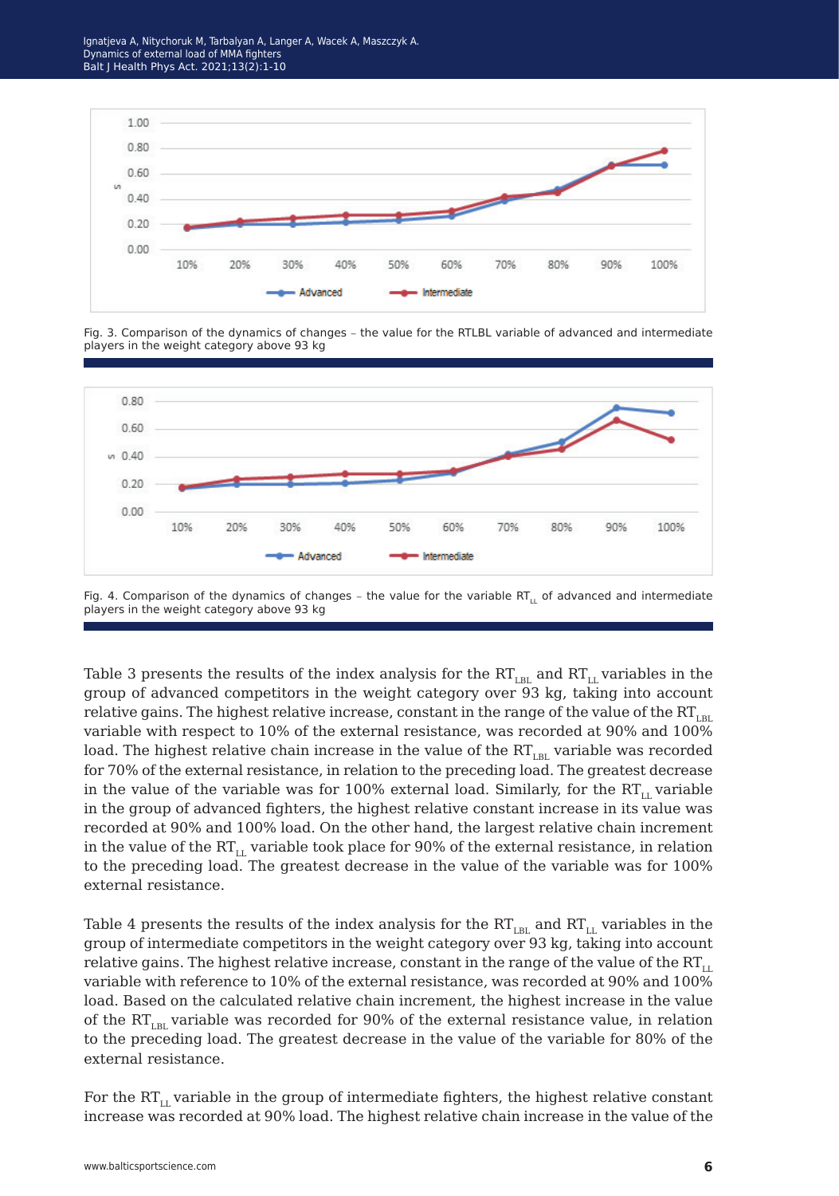Ignatjeva A, Nitychoruk M, Tarbalyan A, Langer A, Wacek A, Maszczyk A. Dynamics of external load of MMA fighters Balt J Health Phys Act. 2021;13(2):1-10



Fig. 3. Comparison of the dynamics of changes – the value for the RTLBL variable of advanced and intermediate players in the weight category above 93 kg



Fig. 4. Comparison of the dynamics of changes – the value for the variable RT<sub>II</sub> of advanced and intermediate players in the weight category above 93 kg

Table 3 presents the results of the index analysis for the  $RT_{LBL}$  and  $RT_{LL}$  variables in the group of advanced competitors in the weight category over 93 kg, taking into account relative gains. The highest relative increase, constant in the range of the value of the  $RT_{LBL}$ variable with respect to 10% of the external resistance, was recorded at 90% and 100% load. The highest relative chain increase in the value of the  $RT_{IR}$  variable was recorded for 70% of the external resistance, in relation to the preceding load. The greatest decrease in the value of the variable was for 100% external load. Similarly, for the  $RT_{\text{L}}$  variable in the group of advanced fighters, the highest relative constant increase in its value was recorded at 90% and 100% load. On the other hand, the largest relative chain increment in the value of the  $RT_{\text{L}}$  variable took place for 90% of the external resistance, in relation to the preceding load. The greatest decrease in the value of the variable was for 100% external resistance.

Table 4 presents the results of the index analysis for the  $RT_{LBL}$  and  $RT_{LL}$  variables in the group of intermediate competitors in the weight category over 93 kg, taking into account relative gains. The highest relative increase, constant in the range of the value of the  $RT_{\text{L}}$ variable with reference to 10% of the external resistance, was recorded at 90% and 100% load. Based on the calculated relative chain increment, the highest increase in the value of the  $RT_{LR}$  variable was recorded for 90% of the external resistance value, in relation to the preceding load. The greatest decrease in the value of the variable for 80% of the external resistance.

For the  $RT_{11}$  variable in the group of intermediate fighters, the highest relative constant increase was recorded at 90% load. The highest relative chain increase in the value of the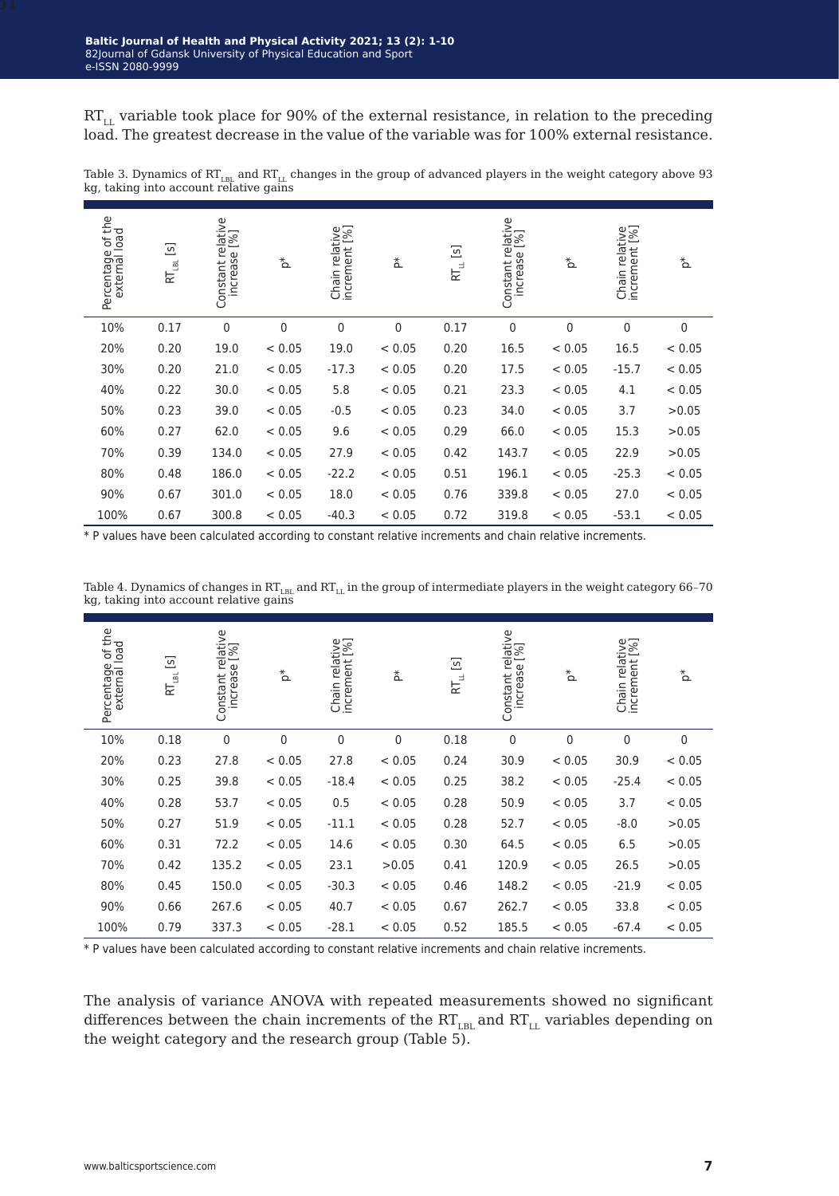$RT_{LL}$  variable took place for 90% of the external resistance, in relation to the preceding load. The greatest decrease in the value of the variable was for 100% external resistance.

| Percentage of the<br>external load | $\begin{bmatrix} 5 \end{bmatrix}$<br>$\mathsf{RT}_{\mathsf{LBL}}$ | Constant relative<br>increase [%] | $\rm \stackrel{*}{\circ}$ | Chain relative<br>increment [%] | 친           | $RT_{\mu}$ [s] | Constant relative<br>increase [%] | $\rm _{\Omega}^{*}$ | Chain relative<br>increment [%] | $\rm _{\Omega}^{*}$ |
|------------------------------------|-------------------------------------------------------------------|-----------------------------------|---------------------------|---------------------------------|-------------|----------------|-----------------------------------|---------------------|---------------------------------|---------------------|
| 10%                                | 0.17                                                              | $\mathbf 0$                       | 0                         | 0                               | $\mathbf 0$ | 0.17           | $\mathbf 0$                       | $\mathbf 0$         | $\mathbf 0$                     | 0                   |
| 20%                                | 0.20                                                              | 19.0                              | < 0.05                    | 19.0                            | < 0.05      | 0.20           | 16.5                              | < 0.05              | 16.5                            | < 0.05              |
| 30%                                | 0.20                                                              | 21.0                              | < 0.05                    | $-17.3$                         | < 0.05      | 0.20           | 17.5                              | < 0.05              | $-15.7$                         | < 0.05              |
| 40%                                | 0.22                                                              | 30.0                              | < 0.05                    | 5.8                             | < 0.05      | 0.21           | 23.3                              | < 0.05              | 4.1                             | < 0.05              |
| 50%                                | 0.23                                                              | 39.0                              | < 0.05                    | $-0.5$                          | < 0.05      | 0.23           | 34.0                              | < 0.05              | 3.7                             | >0.05               |
| 60%                                | 0.27                                                              | 62.0                              | < 0.05                    | 9.6                             | < 0.05      | 0.29           | 66.0                              | < 0.05              | 15.3                            | >0.05               |
| 70%                                | 0.39                                                              | 134.0                             | < 0.05                    | 27.9                            | < 0.05      | 0.42           | 143.7                             | < 0.05              | 22.9                            | >0.05               |
| 80%                                | 0.48                                                              | 186.0                             | < 0.05                    | $-22.2$                         | < 0.05      | 0.51           | 196.1                             | < 0.05              | $-25.3$                         | < 0.05              |
| 90%                                | 0.67                                                              | 301.0                             | < 0.05                    | 18.0                            | < 0.05      | 0.76           | 339.8                             | < 0.05              | 27.0                            | < 0.05              |
| 100%                               | 0.67                                                              | 300.8                             | < 0.05                    | $-40.3$                         | < 0.05      | 0.72           | 319.8                             | < 0.05              | $-53.1$                         | < 0.05              |

Table 3. Dynamics of RT<sub>LBL</sub> and RT<sub>LL</sub> changes in the group of advanced players in the weight category above 93<br>kg, taking into account relative gains

\* P values have been calculated according to constant relative increments and chain relative increments.

| Percentage of the<br>external load | $\begin{bmatrix} 5 \end{bmatrix}$<br>$R_{\rm BH}^-$ | Constant relative<br>increase [%] | $\rm _{\Omega}^*$ | Chain relative<br>increment [%] | $\mathop{\Delta}\limits^{\star}$ | $\begin{bmatrix} S \end{bmatrix}$<br>$\rm E_{\perp}$ | Constant relative<br>increase [%] | $\sum_{i=1}^{k}$ | Chain relative<br>increment [%] | $\sum_{i=1}^{k}$ |
|------------------------------------|-----------------------------------------------------|-----------------------------------|-------------------|---------------------------------|----------------------------------|------------------------------------------------------|-----------------------------------|------------------|---------------------------------|------------------|
| 10%                                | 0.18                                                | 0                                 | $\mathbf{0}$      | $\mathbf 0$                     | $\mathbf 0$                      | 0.18                                                 | 0                                 | $\mathbf 0$      | $\mathbf{0}$                    | 0                |
| 20%                                | 0.23                                                | 27.8                              | < 0.05            | 27.8                            | < 0.05                           | 0.24                                                 | 30.9                              | < 0.05           | 30.9                            | < 0.05           |
| 30%                                | 0.25                                                | 39.8                              | < 0.05            | $-18.4$                         | < 0.05                           | 0.25                                                 | 38.2                              | < 0.05           | $-25.4$                         | < 0.05           |
| 40%                                | 0.28                                                | 53.7                              | < 0.05            | 0.5                             | < 0.05                           | 0.28                                                 | 50.9                              | < 0.05           | 3.7                             | < 0.05           |
| 50%                                | 0.27                                                | 51.9                              | < 0.05            | $-11.1$                         | < 0.05                           | 0.28                                                 | 52.7                              | < 0.05           | $-8.0$                          | >0.05            |
| 60%                                | 0.31                                                | 72.2                              | < 0.05            | 14.6                            | < 0.05                           | 0.30                                                 | 64.5                              | < 0.05           | 6.5                             | >0.05            |
| 70%                                | 0.42                                                | 135.2                             | < 0.05            | 23.1                            | >0.05                            | 0.41                                                 | 120.9                             | < 0.05           | 26.5                            | >0.05            |
| 80%                                | 0.45                                                | 150.0                             | < 0.05            | $-30.3$                         | < 0.05                           | 0.46                                                 | 148.2                             | < 0.05           | $-21.9$                         | < 0.05           |
| 90%                                | 0.66                                                | 267.6                             | < 0.05            | 40.7                            | < 0.05                           | 0.67                                                 | 262.7                             | < 0.05           | 33.8                            | < 0.05           |
| 100%                               | 0.79                                                | 337.3                             | < 0.05            | $-28.1$                         | < 0.05                           | 0.52                                                 | 185.5                             | < 0.05           | $-67.4$                         | < 0.05           |

Table 4. Dynamics of changes in  $RT_{LL}$  and  $RT_{LL}$  in the group of intermediate players in the weight category 66–70 kg, taking into account relative gains

\* P values have been calculated according to constant relative increments and chain relative increments.

The analysis of variance ANOVA with repeated measurements showed no significant differences between the chain increments of the  $RT_{LBL}$  and  $RT_{L}$  variables depending on the weight category and the research group (Table 5).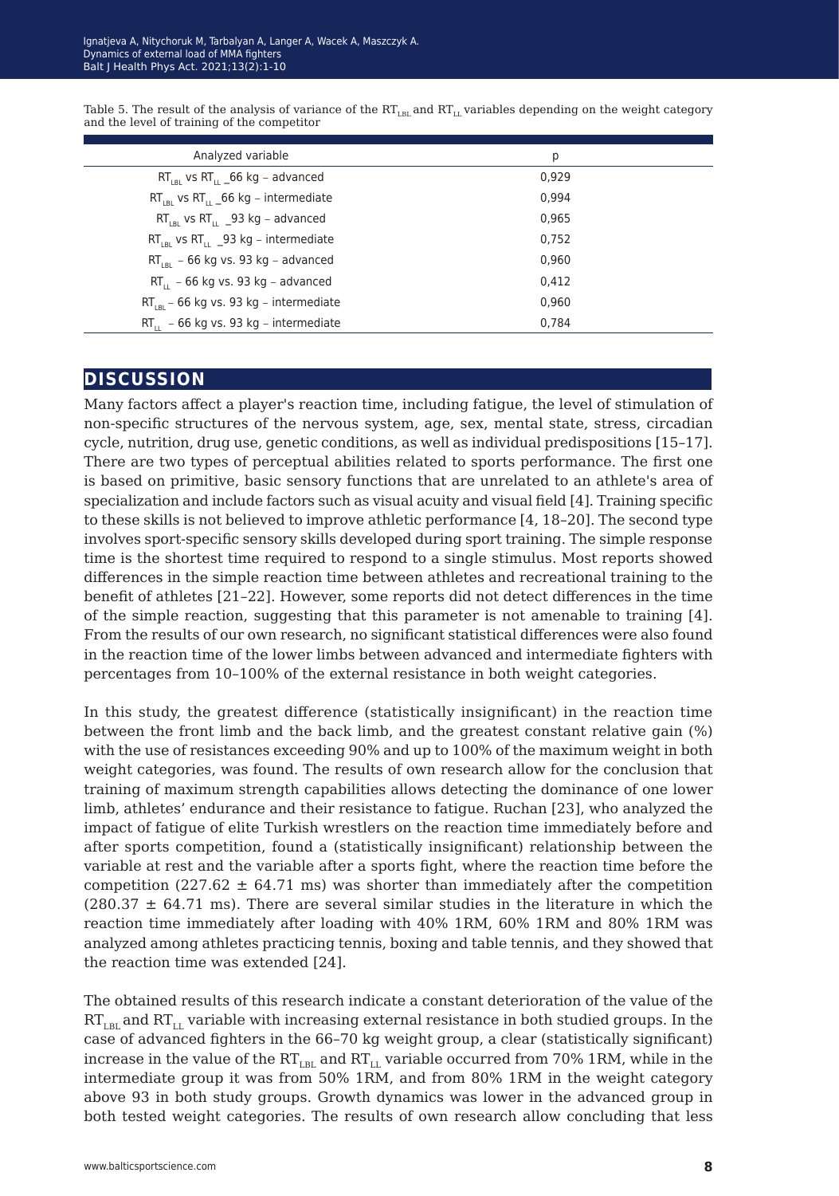| Analyzed variable                                   | p     |
|-----------------------------------------------------|-------|
| $RT_{IR}$ vs $RT_{II}$ 66 kg – advanced             | 0.929 |
| $RT_{IB}$ vs $RT_{II}$ 66 kg – intermediate         | 0.994 |
| $RT_{IR}$ vs RT <sub>11</sub> _93 kg – advanced     | 0.965 |
| $RT_{IR}$ vs RT <sub>11</sub> _93 kg - intermediate | 0.752 |
| $RT_{IR}$ – 66 kg vs. 93 kg – advanced              | 0.960 |
| $RT_{11}$ – 66 kg vs. 93 kg – advanced              | 0,412 |
| $RT_{IR}$ – 66 kg vs. 93 kg – intermediate          | 0.960 |
| $RT_{11}$ – 66 kg vs. 93 kg – intermediate          | 0.784 |

Table 5. The result of the analysis of variance of the  $RT_{LBL}$  and  $RT_{L}$  variables depending on the weight category and the level of training of the competitor

## **discussion**

Many factors affect a player's reaction time, including fatigue, the level of stimulation of non-specific structures of the nervous system, age, sex, mental state, stress, circadian cycle, nutrition, drug use, genetic conditions, as well as individual predispositions [15–17]. There are two types of perceptual abilities related to sports performance. The first one is based on primitive, basic sensory functions that are unrelated to an athlete's area of specialization and include factors such as visual acuity and visual field [4]. Training specific to these skills is not believed to improve athletic performance [4, 18–20]. The second type involves sport-specific sensory skills developed during sport training. The simple response time is the shortest time required to respond to a single stimulus. Most reports showed differences in the simple reaction time between athletes and recreational training to the benefit of athletes [21–22]. However, some reports did not detect differences in the time of the simple reaction, suggesting that this parameter is not amenable to training [4]. From the results of our own research, no significant statistical differences were also found in the reaction time of the lower limbs between advanced and intermediate fighters with percentages from 10–100% of the external resistance in both weight categories.

In this study, the greatest difference (statistically insignificant) in the reaction time between the front limb and the back limb, and the greatest constant relative gain (%) with the use of resistances exceeding 90% and up to 100% of the maximum weight in both weight categories, was found. The results of own research allow for the conclusion that training of maximum strength capabilities allows detecting the dominance of one lower limb, athletes' endurance and their resistance to fatigue. Ruchan [23], who analyzed the impact of fatigue of elite Turkish wrestlers on the reaction time immediately before and after sports competition, found a (statistically insignificant) relationship between the variable at rest and the variable after a sports fight, where the reaction time before the competition (227.62  $\pm$  64.71 ms) was shorter than immediately after the competition  $(280.37 \pm 64.71 \text{ ms})$ . There are several similar studies in the literature in which the reaction time immediately after loading with 40% 1RM, 60% 1RM and 80% 1RM was analyzed among athletes practicing tennis, boxing and table tennis, and they showed that the reaction time was extended [24].

The obtained results of this research indicate a constant deterioration of the value of the  $RT<sub>IR</sub>$  and  $RT<sub>LI</sub>$  variable with increasing external resistance in both studied groups. In the case of advanced fighters in the 66–70 kg weight group, a clear (statistically significant) increase in the value of the  $RT_{LBL}$  and  $RT_{LL}$  variable occurred from 70% 1RM, while in the intermediate group it was from 50% 1RM, and from 80% 1RM in the weight category above 93 in both study groups. Growth dynamics was lower in the advanced group in both tested weight categories. The results of own research allow concluding that less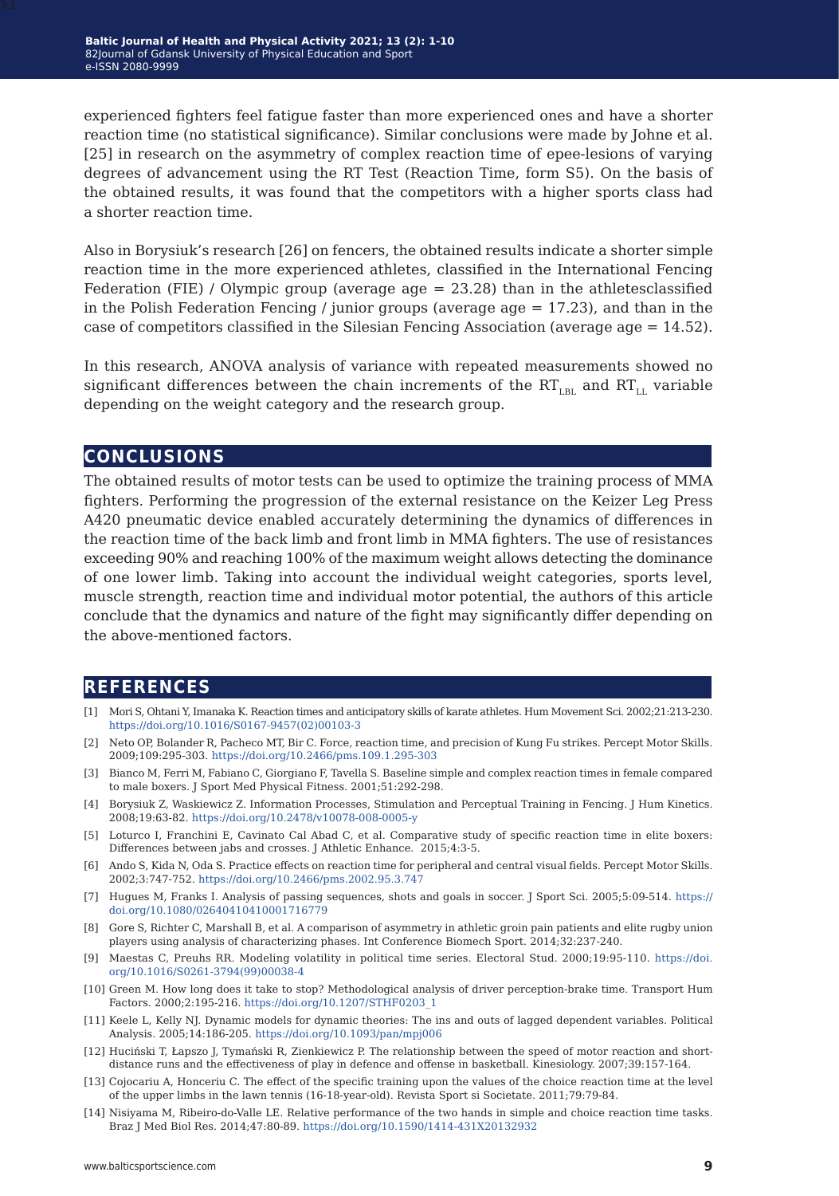experienced fighters feel fatigue faster than more experienced ones and have a shorter reaction time (no statistical significance). Similar conclusions were made by Johne et al. [25] in research on the asymmetry of complex reaction time of epee-lesions of varying degrees of advancement using the RT Test (Reaction Time, form S5). On the basis of the obtained results, it was found that the competitors with a higher sports class had a shorter reaction time.

Also in Borysiuk's research [26] on fencers, the obtained results indicate a shorter simple reaction time in the more experienced athletes, classified in the International Fencing Federation (FIE) / Olympic group (average age = 23.28) than in the athletesclassified in the Polish Federation Fencing / junior groups (average age  $= 17.23$ ), and than in the case of competitors classified in the Silesian Fencing Association (average age = 14.52).

In this research, ANOVA analysis of variance with repeated measurements showed no significant differences between the chain increments of the  $RT_{LR}$  and  $RT_{LL}$  variable depending on the weight category and the research group.

## **conclusions**

The obtained results of motor tests can be used to optimize the training process of MMA fighters. Performing the progression of the external resistance on the Keizer Leg Press A420 pneumatic device enabled accurately determining the dynamics of differences in the reaction time of the back limb and front limb in MMA fighters. The use of resistances exceeding 90% and reaching 100% of the maximum weight allows detecting the dominance of one lower limb. Taking into account the individual weight categories, sports level, muscle strength, reaction time and individual motor potential, the authors of this article conclude that the dynamics and nature of the fight may significantly differ depending on the above-mentioned factors.

## **references**

- [1] Mori S, Ohtani Y, Imanaka K. Reaction times and anticipatory skills of karate athletes. Hum Movement Sci. 2002;21:213-230. [https://doi.org/10.1016/S0167-9457\(02\)00103-3](https://doi.org/10.1016/S0167-9457(02)00103-3)
- [2] Neto OP, Bolander R, Pacheco MT, Bir C. Force, reaction time, and precision of Kung Fu strikes. Percept Motor Skills. 2009;109:295-303.<https://doi.org/10.2466/pms.109.1.295-303>
- [3] Bianco M, Ferri M, Fabiano C, Giorgiano F, Tavella S. Baseline simple and complex reaction times in female compared to male boxers. J Sport Med Physical Fitness. 2001;51:292-298.
- [4] Borysiuk Z, Waskiewicz Z. Information Processes, Stimulation and Perceptual Training in Fencing. J Hum Kinetics. 2008;19:63-82. <https://doi.org/10.2478/v10078-008-0005-y>
- [5] Loturco I, Franchini E, Cavinato Cal Abad C, et al. Comparative study of specific reaction time in elite boxers: Differences between jabs and crosses. J Athletic Enhance. 2015;4:3-5.
- [6] Ando S, Kida N, Oda S. Practice effects on reaction time for peripheral and central visual fields. Percept Motor Skills. 2002;3:747-752.<https://doi.org/10.2466/pms.2002.95.3.747>
- [7] Hugues M, Franks I. Analysis of passing sequences, shots and goals in soccer. J Sport Sci. 2005;5:09-514. [https://](https://doi.org/10.1080/02640410410001716779 ) [doi.org/10.1080/02640410410001716779](https://doi.org/10.1080/02640410410001716779 )
- [8] Gore S, Richter C, Marshall B, et al. A comparison of asymmetry in athletic groin pain patients and elite rugby union players using analysis of characterizing phases. Int Conference Biomech Sport. 2014;32:237-240.
- [9] Maestas C, Preuhs RR. Modeling volatility in political time series. Electoral Stud. 2000;19:95-110. [https://doi.](https://doi.org/10.1016/S0261-3794(99)00038-4 ) [org/10.1016/S0261-3794\(99\)00038-4](https://doi.org/10.1016/S0261-3794(99)00038-4 )
- [10] Green M. How long does it take to stop? Methodological analysis of driver perception-brake time. Transport Hum Factors. 2000;2:195-216. [https://doi.org/10.1207/STHF0203\\_1](https://doi.org/10.1207/STHF0203_1)
- [11] Keele L, Kelly NJ. Dynamic models for dynamic theories: The ins and outs of lagged dependent variables. Political Analysis. 2005;14:186-205.<https://doi.org/10.1093/pan/mpj006>
- [12] Huciński T, Łapszo J, Tymański R, Zienkiewicz P. The relationship between the speed of motor reaction and shortdistance runs and the effectiveness of play in defence and offense in basketball. Kinesiology. 2007;39:157-164.
- [13] Cojocariu A, Honceriu C. The effect of the specific training upon the values of the choice reaction time at the level of the upper limbs in the lawn tennis (16-18-year-old). Revista Sport si Societate. 2011;79:79-84.
- [14] Nisiyama M, Ribeiro-do-Valle LE. Relative performance of the two hands in simple and choice reaction time tasks. Braz J Med Biol Res. 2014;47:80-89. <https://doi.org/10.1590/1414-431X20132932>